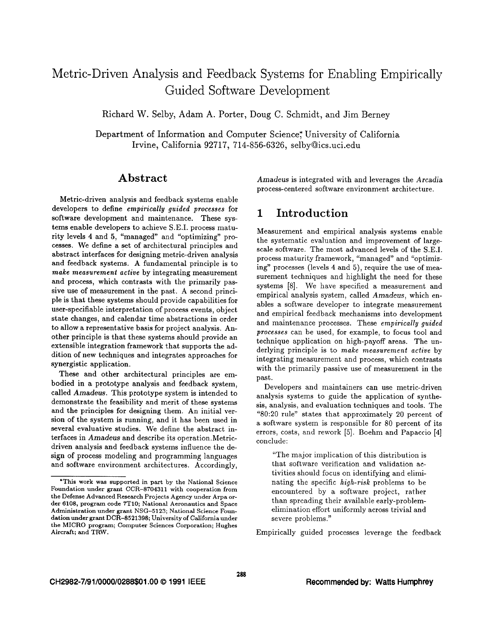# Metric-Driven Analysis and Feedback Systems for Enabling Empirically Guided Software Development

Richard W. Selby, Adam A. Porter, Doug C. Schmidt, and Jim Berney

Department of Information and Computer Science; University of California Irvine, California 92717, 714-856-6326, selbyQics.uci.edu

### Abstract

Metric-driven analysis and feedback systems enable developers to define empirically guided processes for software development and maintenance. These systems enable developers to achieve S.E.I. process maturity levels 4 and 5, "managed" and "optimizing" processes. We define a set of architectural principles and abstract interfaces for designing metric-driven analysis and feedback systems. A fundamental principle is to make measurement active by integrating measurement and process, which contrasts with the primarily passive use of measurement in the past. A second principle is that these systems should provide capabilities for user-specifiable interpretation of process events, object state changes, and calendar time abstractions in order to allow a representative basis for project analysis. Another principle is that these systems should provide an extensible integration framework that supports the addition of new techniques and integrates approaches for synergistic application.

These and other architectural principles are embodied in a prototype analysis and feedback system, called Amadeus. This prototype system is intended to demonstrate the feasibility and merit of these systems and the principles for designing them. An initial version of the system is running, and it has been used in several evaluative studies. We define the abstract interfaces in Amadeus and describe its operation. Metricdriven analysis and feedback systems influence the design of process modeling and programming languages and software environment architectures. Accordingly,

Amadeus is integrated with and leverages the Arcadia process-centered software environment architecture.

## 1 Introduction

Measurement and empirical analysis systems enable the systematic evaluation and improvement of largescale software, The most advanced levels of the S.E.I. process maturity framework, "managed" and "optimizing" processes (levels 4 and 5), require the use of measurement techniques and highlight the need for these systems [8]. We have specified a measurement and empirical analysis system, called Amadeus, which enables a software developer to integrate measurement and empirical feedback mechanisms into development and maintenance processes. These empirically guided processes can be used, for example, to focus tool and technique application on high-payoff areas. The underlying principle is to make measurement active by integrating measurement and process, which contrasts with the primarily passive use of measurement in the past.

Developers and maintainers can use metric-driven analysis systems to guide the application of synthesis, analysis, and evaluation techniques and tools. The "80:20 rule" states that approximately 20 percent of a software system is responsible for 80 percent of its errors, costs, and rework [5]. Boehm and Papaccio [4] conclude:

"The major implication of this distribution is that software verification and validation activities should focus on identifying and eliminating the specific high-risk problems to be encountered by a software project, rather than spreading their available early-problemelimination effort uniformly across trivial and severe problems."

Empirically guided processes leverage the feedback

<sup>\*</sup>This work was supported in part by the National Science Foundation under grant CCR–8704311 with cooperation from the Defense Advanced Research Projects Agency under Arpa order 6108, program code 7TIo; National Aeronautics and Space Administration under grant NSG-5123; National Science Foundation under grant DCR–8521398; University of California under the MICRO program; Computer Sciences Corporation; Hughes Aircraft; and TRW.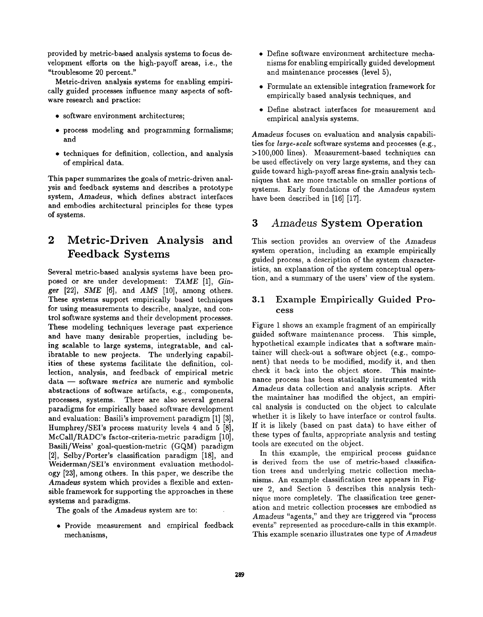provided by metric-based analysis systems to focus development efforts on the high-payoff areas, i.e., the "troublesome 20 percent."

Metric-driven analysis systems for enabling empirically guided processes influence many aspects of software research and practice:

- software environment architectures;
- process modeling and programming formalisms; and
- techniques for definition, collection, and analysis of empirical data.

This paper summarizes the goals of metric-driven analysis and feedback systems and describes a prototype system, Amadeus, which defines abstract interfaces and embodies architectural principles for these types of systems.

## 2 Metric-Driven Analysis and Feedback Systems

Several metric-based analysis systems have been proposed or are under development: TAME [1], Ginger  $[22]$ , SME  $[6]$ , and AMS  $[10]$ , among others. These systems support empirically based techniques for using measurements to describe, analyze, and control software systems and their development processes. These modeling techniques leverage past experience and have many desirable properties, including being scalable to large systems, integratable, and calibratable to new projects. The underlying capabilities of these systems facilitate the definition, collection, analysis, and feedback of empirical metric data — software metrics are numeric and symbolic abstractions of software artifacts, e.g., components, processes, systems. There are also several general paradigms for empirically based software development and evaluation: Basili's improvement paradigm [1] [3], Humphrey/SEI's process maturity levels 4 and 5 [8], McCall/RADC's factor-criteria-metric paradigm [10], Basili/Weiss' goal-question-metric (GQM) paradigm [2], Selby/Porter's classification paradigm [18], and Weiderman/SEI's environment evaluation methodology [23], among others. In this paper, we describe the Amadeus system which provides a flexible and extensible framework for supporting the approaches in these systems and paradigms.

The goals of the Amadeus system are to:

● Provide measurement and empirical feedback mechanisms,

- Define software environment architecture mechanisms for enabling empirically guided development and maintenance processes (level 5),
- Formulate an extensible integration framework for empirically based analysis techniques, and
- Define abstract interfaces for measurement and empirical analysis systems.

Amadeus focuses on evaluation and analysis capabilities for *large-scale* software systems and processes (e.g., >100,000 lines). Measurement-based techniques can be used effectively on very large systems, and they can guide toward high-payoff areas fine-grain analysis techniques that are more tractable on smaller portions of systems. Early foundations of the Amadeus system have been described in [16] [17].

## 3 Amadeus System Operation

This section provides an overview of the Amadeus system operation, including an example empirically guided process, a description of the system characteristics, an explanation of the system conceptual operation, and a summary of the users' view of the system.

### 3.1 Example Empirically Guided Process

Figure 1 shows an example fragment of an empirically guided software maintenance process. This simple, hypothetical example indicates that a software maintainer will check-out a software object (e.g., component) that needs to be modified, modify it, and then check it back into the object store. This maintenance process has been statically instrumented with Amadeus data collection and analysis scripts. After the maintainer has modified the object, an empirical analysis is conducted on the object to calculate whether it is likely to have interface or control faults. If it is likely (based on past data) to have either of these types of faults, appropriate analysis and testing tools are executed on the object.

In this example, the empirical process guidance is derived from the use of metric-based classification trees and underlying metric collection mechanisms. An example classification tree appears in Figure 2, and Section 5 describes this analysis technique more completely. The classification tree generation and metric collection processes are embodied as Amadeus "agents," and they are triggered via "process events" represented as procedure-calls in this example. This example scenario illustrates one type of Amadeus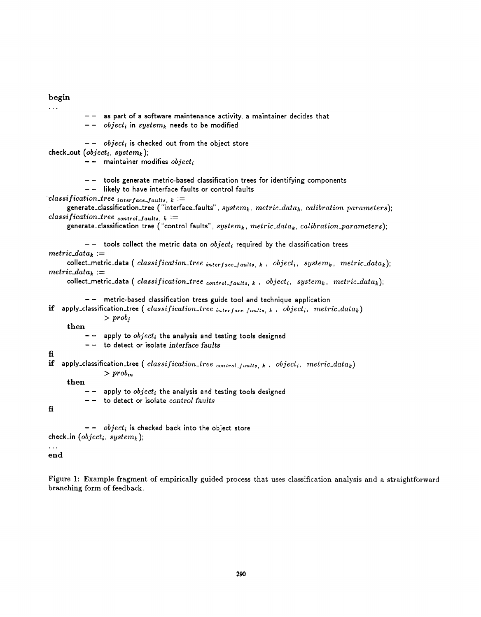#### begin

. . .

```
- – as part of a software maintenance activity, a maintainer decides that
           -- object_i in system<sub>k</sub> needs to be modified
           -- object_i is checked out from the object store
check_out (object_i, system_k);-- maintainer modifies object_i-- tools generate metric-based classification trees for identifying components
           -- likely to have interface faults or control faults
classification_tree interface_faults, k :=generate_classification_tree ( "interface_faults", system_k, metric\_data_k, calization\_parameters;
classification\_tree_{control\_faults, k} :=generate_classification_tree ("control_faults", systemk, metric_datak, calibration_parameters);
           - tools collect the metric data on object<sub>i</sub> required by the classification trees
metric\_data_k :=collect_metric_data ( classification_tree _{interface\_tauits. k}, object_i, system<sub>k</sub>, metric_data<sub>k</sub>);
metric\_data_k :=collect_metric_data ( classification\_tree_{control\_faults, k}, object_i, system_k, metric_datak);
           -- metric-based classification trees guide tool and technique application
if apply_classification_tree ( classification\_tree _{interface\_faults,~k} , object_i,~metric\_data_k)> prob<sub>i</sub>then
            -- apply to object_i the analysis and testing tools designed
           - - to detect or isolate interface faults
if apply-classification_tree ( classification\_tree _{control\_ faults,~k} , object_i,~metric\_data_k)> prob_mthen
            - apply to object_i the analysis and testing tools designed
           -- to detect or isolate control faults
           -- object_i is checked back into the object store
```
check\_in  $(object_i, system_k);$ 

. . . end

fi

fi

Figure 1: Example fragment of empirically guided process that uses classification analysis and a straightforward branching form of feedback.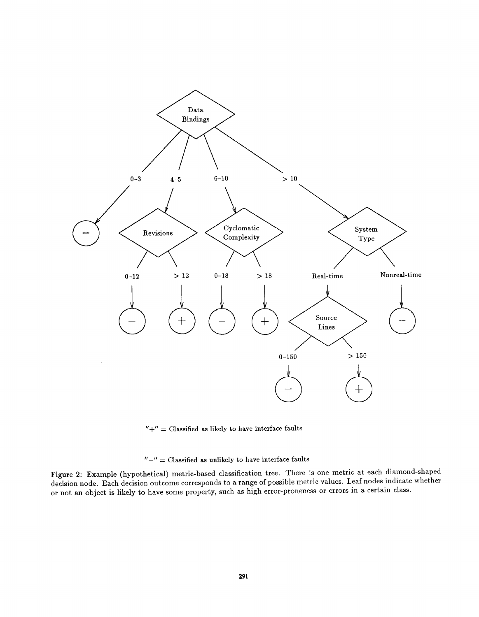

 $"+'" = Classified as likely to have interface faults$ 

 $'' -'' =$  Classified as unlikely to have interface faults

Figure 2: Example (hypothetical) metric-based classification tree. There is one metric at each diamond-shaped decision node. Each decision outcome corresponds to <sup>a</sup> range of possible metric values. Leaf nodes indicate whether or not an object is likely to have some property, such as high error-proneness or errors in a certain class.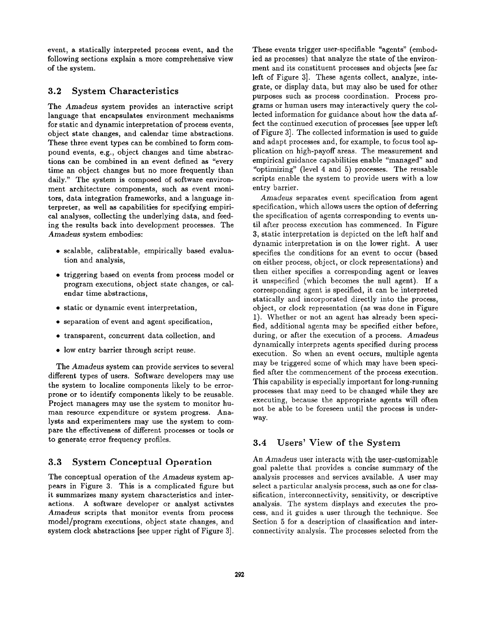event, a statically interpreted process event, and the following sections explain a more comprehensive view of the system.

#### 3.2 System Characteristics

The Amadeus system provides an interactive script language that encapsulates environment mechanisms for static and dynamic interpretation of process events, object state changes, and calendar time abstractions. These three event types can be combined to form compound events, e.g., object changes and time abstractions can be combined in an event defined as "every time an object changes but no more frequently than daily." The system is composed of software environment architecture components, such as event monitors, data integration frameworks, and a language interpreter, as well as capabilities for specifying empirical analyses, collecting the underlying data, and feeding the results back into development processes. The Amadeus system embodies:

- $\bullet$  scalable, calibratable, empirically based evalu tion and analysis,
- $\bullet$  triggering based on events from process model or program executions, object state changes, or calendar time abstractions,
- $\bullet\,$  static or dynamic event interpreta
- separation of event and agent specificat
- $\bullet$  transparent, concurrent data collection, and
- low entry barrier through script reuse.

The Amadeus system can provide services to several different types of users. Software developers may use the system to localize components likely to be errorprone or to identify components likely to be reusable. Project managers may use the system to monitor human resource expenditure or system progress. Analysts and experimenters may use the system to compare the effectiveness of different processes or tools or to generate error frequency profiles.

#### 3.3 System Conceptual Operation

The conceptual operation of the Amadeus system appears in Figure 3. This is a complicated figure but it summarizes many system characteristics and interactions. A software developer or analyst activates Amadeus scripts that monitor events from process model/program executions, object state changes, and system clock abstractions [see upper right of Figure 3].

These events trigger user-specifiable "agents" (embodied as processes) that analyze the state of the environment and its constituent processes and objects [see far left of Figure 3]. These agents collect, analyze, integrate, or display data, but may also be used for other purposes such as process coordination. Process programs or human users may interactively query the collected information for guidance about how the data affect the continued execution of processes [see upper left of Figure 3]. The collected information is used to guide and adapt processes and, for example, to focus tool application on high-payoff areas. The measurement and empirical guidance capabilities enable "managed" and "optimizing" (level 4 and 5) processes. The reusable scripts enable the system to provide users with a low entry barrier.

Amadeus separates event specification from agent specification, which allows users the option of deferring the specification of agents corresponding to events until after process execution has commenced. In Figure 3, static interpretation is depicted on the left half and dynamic interpretation is on the lower right. A user specifies the conditions for an event to occur (based on either process, object, or clock representations) and then either specifies a corresponding agent or leaves it unspecified (which becomes the null agent). If a corresponding agent is specified, it can be interpreted statically and incorporated directly into the process, object, or clock representation (as was done in Figure 1). Whether or not an agent has already been specified, additional agents may be specified either before, during, or after the execution of a process. Amadeus dynamically interprets agents specified during process execution. So when an event occurs, multiple agents may be triggered some of which may have been specified after the commencement of the process execution. This capability is especially important for long-running processes that may need to be changed while they are executing, because the appropriate agents will often not be able to be foreseen until the process is underway.

#### 3.4 Users' View of the System

An Amadeus user interacts with the user-customizable goal palette that provides a concise summary of the analysis processes and services available. A user may select a particular analysis process, such as one for classification, interconnectivity, sensitivity, or descriptive analysis. The system displays and executes the process, and it guides a user through the technique. See Section 5 for a description of classification and interconnectivity analysis. The processes selected from the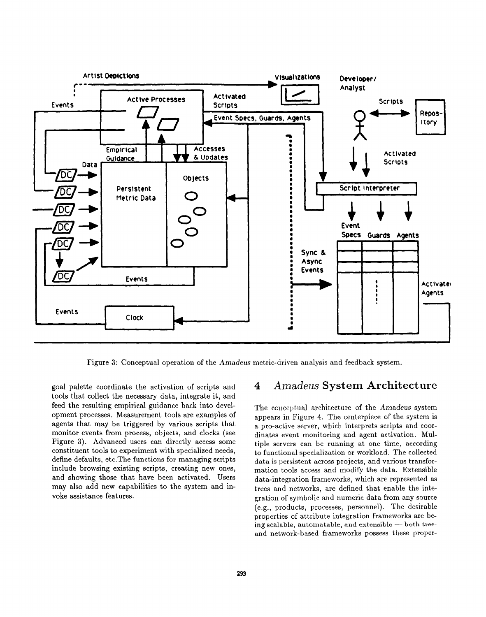

Figure 3: Conceptual operation of the Amadeus metric-driven analysis and feedback system.

goal palette coordinate the activation of scripts and tools that collect the necessary data, integrate it, and feed the resulting empirical guidance back into development processes. Measurement tools are examples of agents that may be triggered by various scripts that monitor events from process, objects, and clocks (see Figure 3). Advanced users can directly access some constituent tools to experiment with specialized needs, define defaults, etc. The functions for managing scripts include browsing existing scripts, creating new ones, and showing those that have been activated. Users may also add new capabilities to the system and invoke assistance features.

### 4 Amadeus System Architecture

The conceptual architecture of the Amadeus system appears in Figure 4. The centerpiece of the system is a pro-active server, which interprets scripts and coordinates event monitoring and agent activation. Multiple servers can be running at one time, according to functional specialization or workload. The collected data is persistent across projects, and various transformation tools access and modify the data. Extensible data-integration frameworks, which are represented as trees and networks, are defined that enable the integration of symbolic and numeric data from any source (e.g., products, processes, personnel). The desirable properties of attribute integration frameworks are being scalable, automatable, and extensible — both treeand network-based frameworks possess these proper-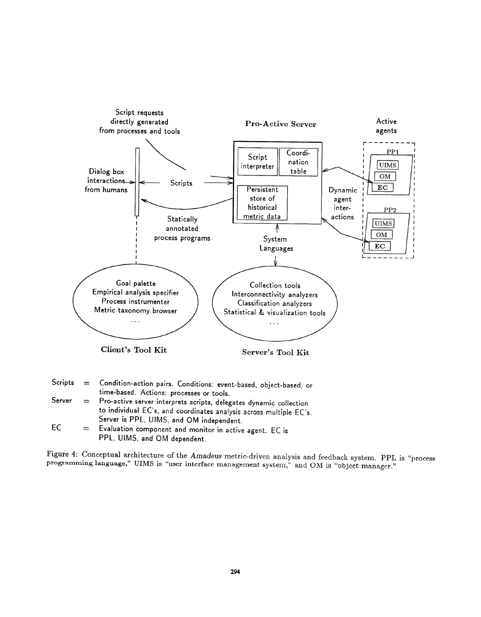

|        |     | Scripts = Condition-action pairs. Conditions: event-based, object-based, or |
|--------|-----|-----------------------------------------------------------------------------|
|        |     | time-based. Actions: processes or tools.                                    |
| Server | $=$ | Pro-active server interprets scripts, delegates dynamic collection          |
|        |     | to individual EC's, and coordinates analysis across multiple EC's.          |
|        |     | Server is PPL, UIMS, and OM independent.                                    |
| EC.    |     | Evaluation component and monitor in active agent. EC is                     |
|        |     | PPL, UIMS, and OM dependent.                                                |
|        |     |                                                                             |

Figure 4: Conceptual architecture of the Amadeus metric-driven analysis and feedback system. PPL is "process programming language," UIMS is "user interface management system," and OM is "object manager."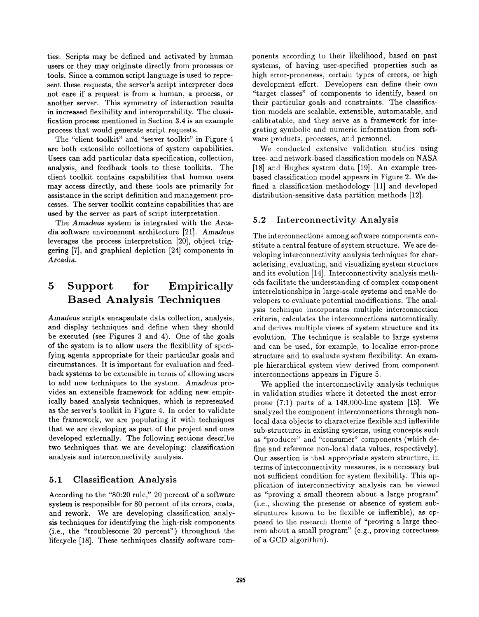ties. Scripts may be defined and activated by human users or they may originate directly from processes or tools. Since a common script language is used to represent these requests, the server's script interpreter does not care if a request is from a human, a process, or another server. This symmetry of interaction results in increased flexibility and interoperability. The classification process mentioned in Section 3.4 is an example process that would generate script requests.

The "client toolkit" and "server toolkit" in Figure 4 are both extensible collections of system capabilities. Users can add particular data specification, collection, analysis, and feedback tools to these toolkits. The client toolkit contains capabilities that human users may access directly, and these tools are primarily for assistance in the script definition and management processes. The server toolkit contains capabilities that are used by the server as part of script interpretation.

The Amadeus system is integrated with the Arcadia software environment architecture [21]. Amadeus leverages the process interpretation [20], object triggering [7], and graphical depiction [24] components in Arcadia.

## 5 Support for Empirically Based Analysis Techniques

Amadeus scripts encapsulate data collection, analysis, and display techniques and define when they should be executed (see Figures 3 and 4). One of the goals of the system is to allow users the flexibility of specifying agents appropriate for their particular goals and circumstances. It is important for evaluation and feedback systems to be extensible in terms of allowing users to add new techniques to the system. Amadeus provides an extensible framework for adding new empirically based analysis techniques, which is represented as the server's toolkit in Figure 4. In order to validate the framework, we are populating it with techniques that we are developing as part of the project and ones developed externally. The following sections describe two techniques that we are developing: classification analysis and interconnectivity analysis.

### 5.1 Classification Analysis

According to the "80:20 rule," 20 percent of a software system is responsible for 80 percent of its errors, costs, and rework. We are developing classification analysis techniques for identifying the high-risk components (i.e., the "troublesome 20 percent") throughout the lifecycle [18]. These techniques classify software components according to their likelihood, based on past systems, of having user-specified properties such as high error-proneness, certain types of errors, or high development effort. Developers can define their own "target classes" of components to identify, based on their particular goals and constraints. 'The classification models are scalable, extensible, automatable, and calibratable, and they serve as a framework for integrating symbolic and numeric information from software products, processes, and personnel.

We conducted extensive validation studies using tree- and network-based classification models on NASA [18] and Hughes system data [19]. An example treebased classification model appears in Figure 2. We defined a classification methodology [11] and developed distribution-sensitive data partition methods [12].

### 5.2 Interconnectivity Analysis

The interconnections among software components constitute a central feature of system structure. We are developing interconnectivity analysis techniques for characterizing, evaluating, and visualizing system structure and its evolution [14]. Interconnectivity analysis methods facilitate the understanding of complex component interrelationships in large-scale systems and enable developers to evaluate potential modifications. The analysis technique incorporates multiple interconnection criteria, calculates the interconnections automatically, and derives multiple views of system structure and its evolution. The technique is scalable to large systems and can be used, for example, to localize error-prone structure and to evaluate system flexibility. An example hierarchical system view derived from component interconnections appears in Figure 5.

We applied the interconnectivity analysis technique in validation studies where it detected the most errorprone  $(7:1)$  parts of a 148,000-line system [15]. We analyzed the component interconnections through nonlocal data objects to characterize flexible and inflexible sub-structures in existing systems, using concepts such as "producer" and "consumer" components (which define and reference non-local data values, respectively). Our assertion is that appropriate system structure, in terms of interconnectivity measures, is a necessary but not sufficient condition for system flexibility. This application of interconnectivity analysis can be viewed as "proving a small theorem about a large program" (i.e., showing the presense or absence of system substructures known to be flexible or inflexible), as opposed to the research theme of "proving a large theorem about a small program" (e.g., proving correctness of a GCD algorithm).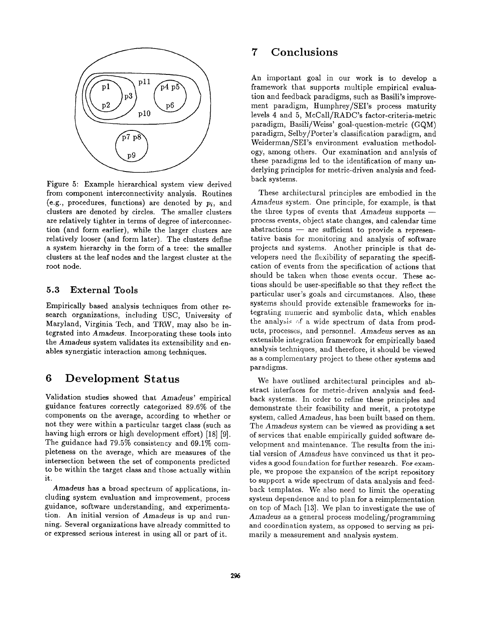

Figure 5: Example hierarchical system view derived from component interconnectivity analysis. Routines (e.g., procedures, functions) are denoted by  $p_i$ , and clusters are denoted by circles. The smaller clusters are relatively tighter in terms of degree of interconnection (and form earlier), while the larger clusters are relatively looser (and form later). The clusters define a system hierarchy in the form of a tree: the smaller clusters at the leaf nodes and the largest cluster at the root node.

#### 5.3 External Tools

Empirically based analysis techniques from other research organizations, including USC, University of Maryland, Virginia Tech, and TRW, may also be integrated into Amadeus. Incorporating these tools into the Amadeus system validates its extensibility and enables synergistic interaction among techniques.

### 6 Development Status

Validation studies showed that Amadeus' empirical guidance features correctly categorized 89.6% of the components on the average, according to whether or not they were within a particular target class (such as having high errors or high development effort) [18] [9]. The guidance had 79.5% consistency and 69.1% completeness on the average, which are measures of the intersection between the set of components predicted to be within the target class and those actually within it.

Amadeus has a broad spectrum of applications, including system evaluation and improvement, process guidance, software understanding, and experimentation. An initial version of Amadeus is up and running. Several organizations have already committed to or expressed serious interest in using all or part of it.

### 7 Conclusions

An important goal in our work is to develop a framework that supports multiple empirical evaluation and feedback paradigms, such as Basili's improvement paradigm, Humphrey/SEI's process maturity levels 4 and 5, McCall/RADC's factor-criteria-metric paradigm, Basili/Weiss' goal-question-metric (GQM) paradigm, Selby/Porter's classification paradigm, and Weiderman/SEI's environment evaluation methodology, among others. Our examination and analysis of these paradigms led to the identification of many underlying principles for metric-driven analysis and feedback systems.

These architectural principles are embodied in the Amadeus system. One principle, for example, is that the three types of events that Amadeus supports  $$ process events, object state changes, and calendar time abstractions — are sufficient to provide a representative basis for monitoring and analysis of software projects and systems. Another principle is that developers need the flexibility of separating the specification of events from the specification of actions that should be taken when those events occur. These actions should be user-specifiable so that they reflect the particular user's goals and circumstances. Also, these systems should provide extensible frameworks for integrating numeric and symbolic data, which enables the analysis of a wide spectrum of data from products, processes, and personnel. Amadeus serves as an extensible integration framework for empirically based analysis techniques, and therefore, it should be viewed as a complementary project to these other systems and paradigms.

We have outlined architectural principles and abstract interfaces for metric-driven analysis and feedback systems. In order to refine these principles and demonstrate their feasibility and merit, a prototype system, called Amadeus, has been built based on them. The Amadeus system can be viewed as providing a set of services that enable empirically guided software development and maintenance. The results from the initial version of Amadeus have convinced us that it provides a good foundation for further research. For example, we propose the expansion of the script repository to support a wide spectrum of data analysis and feedback templates. We also need to limit the operating system dependence and to plan for a reimplementation on top of Mach [13]. We plan to investigate the use of Amadeus as a general process modeling/programming and coordination system, as opposed to serving as primarily a measurement and analysis system.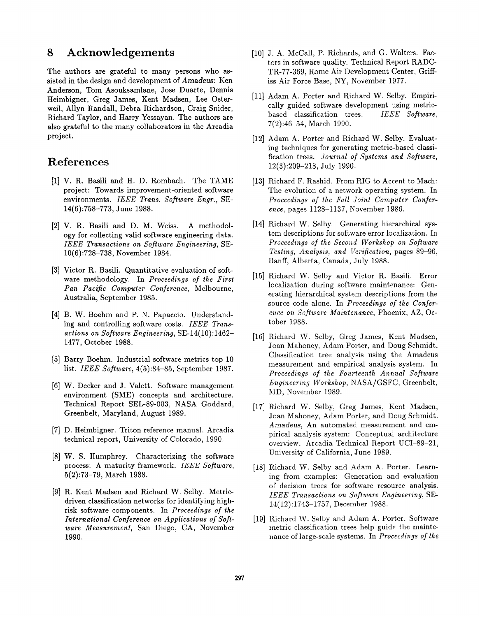### 8 Acknowledgements

The authors are grateful to many persons who assisted in the design and development of Amadeus: Ken Anderson, Tom Asouksamlane, Jose Duarte, Dennis Heimbigner, Greg James, Kent Madsen, Lee Osterweil, Allyn Randall, Debra Richardson, Craig Snider, Richard Taylor, and Harry Yessayan. The authors are also grateful to the many collaborators in the Arcadia project.

### References

- [1] V. R. Basili and H. D. Rombach. The TAME project: Towards improvement-oriented software environments. IEEE Trans. Software Engr., SE-14(6):758-773, June 1988.
- $[2]$  V. R. Basili and D. M. Weiss.  $\,$  A method ogy for collecting valid software engineering data. IEEE Transactions on Sofiware Engineering, SE-10(6):728-738, November 1984.
- [3] Victor R. Basili. Quantitative evaluation of software methodology. In Proceedings of the First Pan Pacific Computer Conference, Melbourne, Australia, September 1985.
- [4] B. W. Boehm and P. N. Papaccio. Understa ing and controlling software costs. IEEE Transactions on Software Engineering, SE-14 (10):1462– 1477, October 1988.
- [5] Barry Boehm. Industrial software metrics top 10 list. IEEE Software, 4(5):84-85, September 1987.
- [6] W. Decker and J. Valett. Software managem environment (SME) concepts and architecture. Technical Report SEL-89-003, NASA Goddard, Greenbelt, Maryland, August 1989.
- [7] D. Heimbigner. Triton reference manual. Arcadia technical report, University of Colorado, 1990.
- $[8]$  W. S. Humphrey. Characterizing the softwa process: A maturity framework. IEEE Software, 5(2):73-79, March 1988.
- [9] R. Kent Madsen and Richard W. Selby. Metr driven classification networks for identifying highrisk software components. In Proceedings of the International Conference on Applications of Software Measurement, San Diego, CA, November 1990.
- $[10]$  J. A. McCall, P. Richards, and G. Walters. Fac tors in software quality. Technical Report RADC-TR-77-369, Rome Air Development Center, Griffiss Air Force Base, NY, November 1977.
- [11] Adam A. Porter and Richard W. Selby. Empi cally guided software development using metricbased classification trees. IEEE Software, 7(2):46-54, March 1990.
- [12] Adam A. Porter and Richard W. Selby. Evalua ing techniques for generating metric-based classification trees. Journal of Systems and Software, 12(3):209-218, July 1990.
- [13] Richard F. Rashid. From RIG to Accent to Macl The evolution of a network operating system. In Proceedings of the Fall Joint Computer Conference, pages 1128–1137, November 1986.
- [14] Richard W. Selby. Generating hierarchical system descriptions for software error localization. In Proceedings of the Second Workshop on Sofiware Testing, Analysis, and Verification, pages 89-96, 13anff, Alberta, Canada, July 1988.
- [15] Richard W. Selby and Victor R. Basili. Error localization during software maintenance: Generating hierarchical system descriptions from the source code alone. In Proceedings of the Conference on Soflware Maintenance, Phoenix, AZ, October 1988.
- [16] Richard W. Selby, Greg James, Kent Madsei Joan Mahoney, Adam Porter, and Doug Schmidt. Classification tree analysis using the Amadeus measurement and empirical analysis system. In Proceedings of the Fourteenth Annual Sofiware Engineering Workshop, NASA/GSFC, Greenbelt, MD, November 1989.
- [17] Richard W. Selby, Greg James, Kent Madsel Joan Mahoney, Adam Porter, and IDoug Schmidt. Amadeus, An automated measurement and empirical analysis system: Conceptual architecture overview. Arcadia Technical Report UCI–89–21, University of California, June 1989.
- [18] Richard IV. Selby and Adam A. Porter. I.earning from examples: Generation amd evaluation of decision trees for software resource analysis. IEEE Transactions on Sofiware Engineering, SE-14(12):1743-1757, December 1988.
- [19] Richard W. Selby and Adam A. Porter. Softwa metric classification trees help guide the maintenance of large-scale systems. In *Proceedings of the*